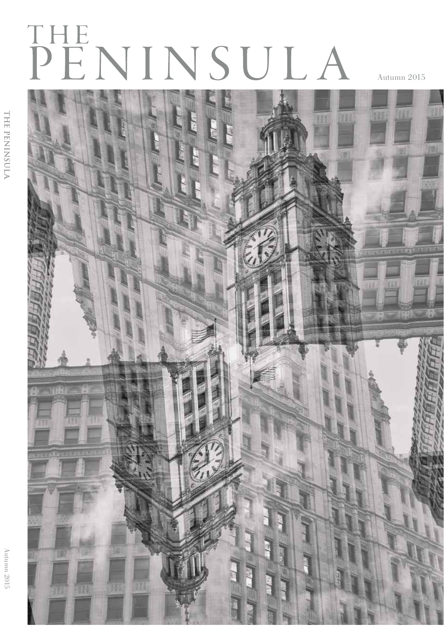# PENINSULA

Autumn 2015

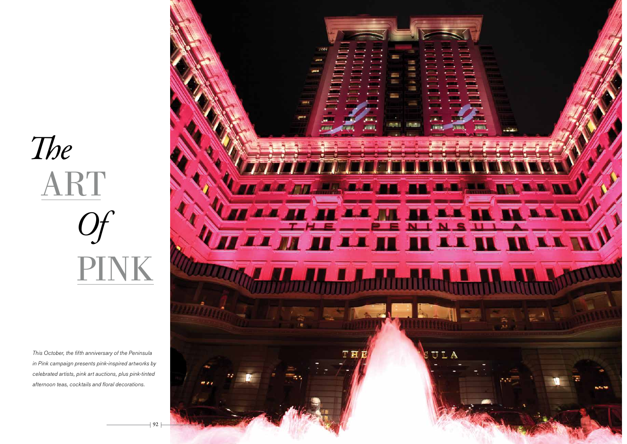# ART PINK The Of

This October, the fifth anniversary of the Peninsula in Pink campaign presents pink-inspired artworks by celebrated artists, pink art auctions, plus pink-tinted afternoon teas, cocktails and floral decorations.

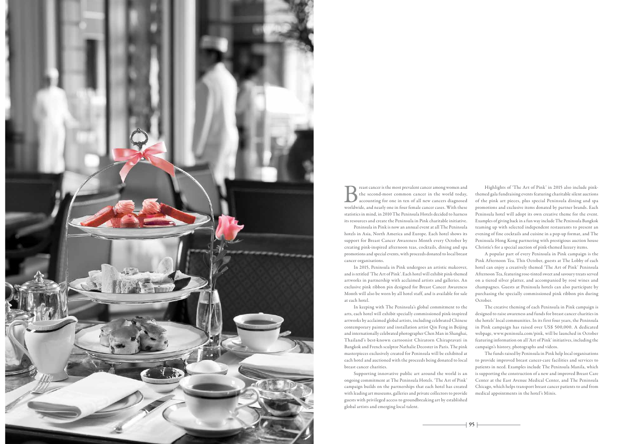

**B** reast cancer is the most prevalent cancer among women and<br>the second-most common cancer in the world today,<br>worldwide, and nearly one in four female cancer cases. With these the second-most common cancer in the world today, accounting for one in ten of all new cancers diagnosed worldwide, and nearly one in four female cancer cases. With these statistics in mind, in 2010 The Peninsula Hotels decided to harness its resources and create the Peninsula in Pink charitable initiative.

Peninsula in Pink is now an annual event at all The Peninsula hotels in Asia, North America and Europe. Each hotel shows its support for Breast Cancer Awareness Month every October by creating pink-inspired afternoon teas, cocktails, dining and spa promotions and special events, with proceeds donated to local breast cancer organisations.

In 2015, Peninsula in Pink undergoes an artistic makeover, and is retitled 'The Art of Pink'. Each hotel will exhibit pink-themed artworks in partnership with acclaimed artists and galleries. An exclusive pink ribbon pin designed for Breast Cancer Awareness Month will also be worn by all hotel staff, and is available for sale at each hotel.

In keeping with The Peninsula's global commitment to the arts, each hotel will exhibit specially commissioned pink-inspired artworks by acclaimed global artists, including celebrated Chinese contemporary painter and installation artist Qin Feng in Beijing and internationally celebrated photographer Chen Man in Shanghai, Thailand's best-known cartoonist Chiratorn Chirapravati in Bangkok and French sculptor Nathalie Decoster in Paris. The pink masterpieces exclusively created for Peninsula will be exhibited at each hotel and auctioned with the proceeds being donated to local breast cancer charities.

Supporting innovative public art around the world is an ongoing commitment at The Peninsula Hotels. 'The Art of Pink' campaign builds on the partnerships that each hotel has created with leading art museums, galleries and private collectors to provide guests with privileged access to groundbreaking art by established global artists and emerging local talent.

Highlights of 'The Art of Pink' in 2015 also include pinkthemed gala fundraising events featuring charitable silent auctions of the pink art pieces, plus special Peninsula dining and spa promotions and exclusive items donated by partner brands. Each Peninsula hotel will adopt its own creative theme for the event. Examples of giving back in a fun way include The Peninsula Bangkok teaming up with selected independent restaurants to present an evening of fine cocktails and cuisine in a pop-up format, and The Peninsula Hong Kong partnering with prestigious auction house Christie's for a special auction of pink-themed luxury items.

A popular part of every Peninsula in Pink campaign is the Pink Afternoon Tea. This October, guests at The Lobby of each hotel can enjoy a creatively themed 'The Art of Pink' Peninsula Afternoon Tea, featuring rose-tinted sweet and savoury treats served on a tiered silver platter, and accompanied by rosé wines and champagnes. Guests at Peninsula hotels can also participate by purchasing the specially commissioned pink ribbon pin during October.

The creative theming of each Peninsula in Pink campaign is designed to raise awareness and funds for breast cancer charities in the hotels' local communities. In its first four years, the Peninsula in Pink campaign has raised over US\$ 500,000. A dedicated webpage, www.peninsula.com/pink, will be launched in October featuring information on all 'Art of Pink' initiatives, including the campaign's history, photographs and videos.

The funds raised by Peninsula in Pink help local organisations to provide improved breast cancer-care facilities and services to patients in need. Examples include The Peninsula Manila, which is supporting the construction of a new and improved Breast Care Center at the East Avenue Medical Center, and The Peninsula Chicago, which helps transport breast cancer patients to and from medical appointments in the hotel's Minis.

 $-$  95  $\pm$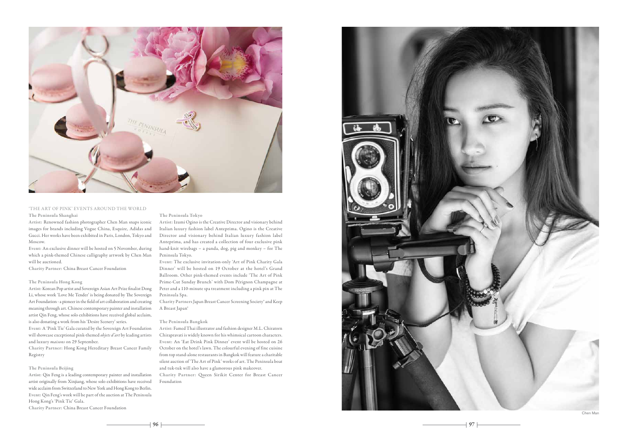

# 'THE ART OF PINK' EVENTS AROUND THE WORLD The Peninsula Shanghai

Artist: Renowned fashion photographer Chen Man snaps iconic images for brands including Vogue China, Esquire, Adidas and Gucci. Her works have been exhibited in Paris, London, Tokyo and Moscow.

Event: An exclusive dinner will be hosted on 5 November, during which a pink-themed Chinese calligraphy artwork by Chen Man will be auctioned.

Charity Partner: China Breast Cancer Foundation

# The Peninsula Hong Kong

Artist: Korean Pop artist and Sovereign Asian Art Prize fnalist Dong Li, whose work 'Love Me Tender' is being donated by The Sovereign Art Foundation - a pioneer in the feld of art collaboration and creating meaning through art. Chinese contemporary painter and installation artist Qin Feng, whose solo exhibitions have received global acclaim, is also donating a work from his 'Desire Scenery' series.

Event: A 'Pink Tie' Gala curated by the Sovereign Art Foundation will showcase exceptional pink-themed objets d'art by leading artists and luxury *maisons* on 29 September.

Charity Partner: Hong Kong Hereditary Breast Cancer Family Registry

# The Peninsula Beijing

Artist: Qin Feng is a leading contemporary painter and installation artist originally from Xinjiang, whose solo exhibitions have received wide acclaim from Switzerland to New York and Hong Kong to Berlin. Event: Qin Feng's work will be part of the auction at The Peninsula Hong Kong's 'Pink Tie' Gala.

Charity Partner: China Breast Cancer Foundation

The Peninsula Tokyo

Artist: Izumi Ogino is the Creative Director and visionary behind Italian luxury fashion label Anteprima. Ogino is the Creative Director and visionary behind Italian luxury fashion label Anteprima, and has created a collection of four exclusive pink hand-knit wirebags – a panda, dog, pig and monkey – for The Peninsula Tokyo.

Event: The exclusive invitation-only 'Art of Pink Charity Gala Dinner' will be hosted on 19 October at the hotel's Grand Ballroom. Other pink-themed events include 'The Art of Pink Prime-Cut Sunday Brunch' with Dom Pérignon Champagne at Peter and a 110-minute spa treatment including a pink pin at The Peninsula Spa.

Charity Partners Japan Breast Cancer Screening Society® and Keep A Breast Japan®

#### The Peninsula Bangkok

Artist: Famed Thai illustrator and fashion designer M.L. Chiratorn Chirapravati is widely known for his whimsical cartoon characters. Event: An 'Eat Drink Pink Dinner' event will be hosted on 26 October on the hotel's lawn. The colourful evening of fine cuisine from top stand-alone restaurants in Bangkok will feature a charitable silent auction of 'The Art of Pink' works of art. The Peninsula boat and tuk-tuk will also have a glamorous pink makeover. Charity Partner: Queen Sirikit Center for Breast Cancer Foundation



96  $\sim$  97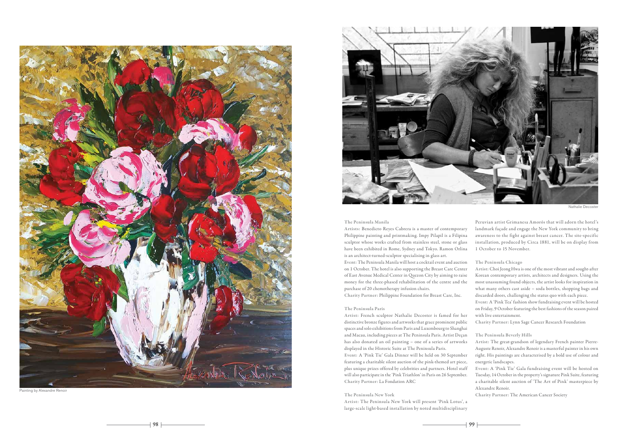

Painting by Alexandre Renoir



# The Peninsula Manila

Artists: Benedicto Reyes Cabrera is a master of contemporary Philippine painting and printmaking. Impy Pilapil is a Filipina sculptor whose works crafted from stainless steel, stone or glass have been exhibited in Rome, Sydney and Tokyo. Ramon Orlina is an architect-turned-sculptor specialising in glass art.

Event: The Peninsula Manila will host a cocktail event and auction on 1 October. The hotel is also supporting the Breast Care Center of East Avenue Medical Center in Quezon City by aiming to raise money for the three-phased rehabilitation of the centre and the purchase of 20 chemotherapy infusion chairs.

Charity Partner: Philippine Foundation for Breast Care, Inc.

#### The Peninsula Paris

Artist: French sculptor Nathalie Decoster is famed for her distinctive bronze figures and artworks that grace prominent public spaces and solo exhibitions from Paris and Luxembourg to Shanghai and Macau, including pieces at The Peninsula Paris. Artist Deçan has also donated an oil painting – one of a series of artworks displayed in the Historic Suite at The Peninsula Paris.

Event: A 'Pink Tie' Gala Dinner will be held on 30 September featuring a charitable silent auction of the pink-themed art piece, plus unique prizes offered by celebrities and partners. Hotel staff will also participate in the 'Pink Triathlon' in Paris on 26 September. Charity Partner: La Fondation ARC

## The Peninsula New York

Artist: The Peninsula New York will present 'Pink Lotus', a large-scale light-based installation by noted multidisciplinary

Peruvian artist Grimanesa Amorós that will adorn the hotel's landmark façade and engage the New York community to bring awareness to the fight against breast cancer. The site-specific installation, produced by Circa 1881, will be on display from 1 October to 15 November.

# The Peninsula Chicago

Artist: Choi Jeong Hwa is one of the most vibrant and sought-after Korean contemporary artists, architects and designers. Using the most unassuming found objects, the artist looks for inspiration in what many others cast aside – soda bottles, shopping bags and discarded doors, challenging the status quo with each piece. Event: A 'Pink Tea' fashion show fundraising event will be hosted on Friday, 9 October featuring the best fashions of the season paired with live entertainment.

Charity Partner: Lynn Sage Cancer Research Foundation

## The Peninsula Beverly Hills

Artist: The great-grandson of legendary French painter Pierre-Auguste Renoir, Alexandre Renoir is a masterful painter in his own right. His paintings are characterised by a bold use of colour and energetic landscapes.

Event: A 'Pink Tie' Gala fundraising event will be hosted on Tuesday, 14 October in the property's signature Pink Suite, featuring a charitable silent auction of 'The Art of Pink' masterpiece by Alexandre Renoir.

Charity Partner: The American Cancer Society

 $98$   $-$  99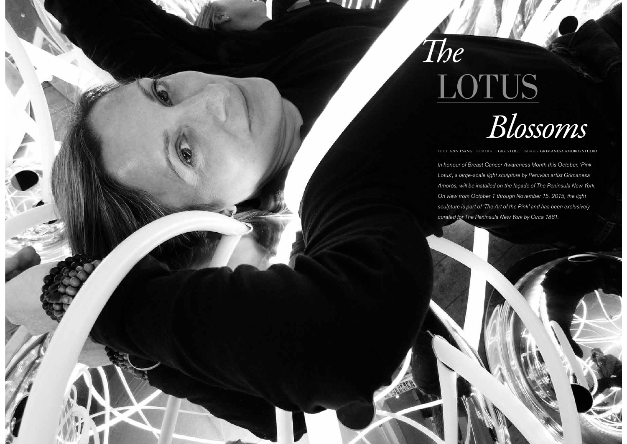

The

TEXT: ANN TSANG PORTRAIT: GIGI STOLL IMAGES: GRIMANESA AMOROS STUDIO

In honour of Breast Cancer Awareness Month this October. 'Pink Lotus', a large-scale light sculpture by Peruvian artist Grimanesa Amorós, will be installed on the façade of The Peninsula New York. On view from October 1 through November 15, 2015, the light sculpture is part of 'The Art of the Pink' and has been exclusively curated for The Peninsula New York by Circa 1881.